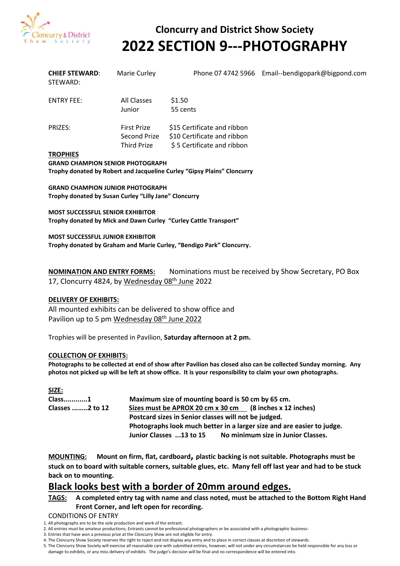

# **Cloncurry and District Show Society 2022 SECTION 9---PHOTOGRAPHY**

| <b>CHIEF STEWARD:</b><br>STEWARD: | Marie Curley                                             |                                                                                          | Phone 07 4742 5966 Email--bendigopark@bigpond.com |
|-----------------------------------|----------------------------------------------------------|------------------------------------------------------------------------------------------|---------------------------------------------------|
| <b>ENTRY FEE:</b>                 | All Classes<br>Junior                                    | \$1.50<br>55 cents                                                                       |                                                   |
| <b>PRIZES:</b>                    | <b>First Prize</b><br>Second Prize<br><b>Third Prize</b> | \$15 Certificate and ribbon<br>\$10 Certificate and ribbon<br>\$5 Certificate and ribbon |                                                   |
| <b>TROPHIES</b>                   |                                                          |                                                                                          |                                                   |

**GRAND CHAMPION SENIOR PHOTOGRAPH Trophy donated by Robert and Jacqueline Curley "Gipsy Plains" Cloncurry**

**GRAND CHAMPION JUNIOR PHOTOGRAPH Trophy donated by Susan Curley "Lilly Jane" Cloncurry**

**MOST SUCCESSFUL SENIOR EXHIBITOR Trophy donated by Mick and Dawn Curley "Curley Cattle Transport"**

**MOST SUCCESSFUL JUNIOR EXHIBITOR Trophy donated by Graham and Marie Curley, "Bendigo Park" Cloncurry.**

**NOMINATION AND ENTRY FORMS:** Nominations must be received by Show Secretary, PO Box 17, Cloncurry 4824, by Wednesday 08<sup>th</sup> June 2022

#### **DELIVERY OF EXHIBITS:**

All mounted exhibits can be delivered to show office and Pavilion up to 5 pm Wednesday 08<sup>th</sup> June 2022

Trophies will be presented in Pavilion, **Saturday afternoon at 2 pm.**

#### **COLLECTION OF EXHIBITS:**

**Photographs to be collected at end of show after Pavilion has closed also can be collected Sunday morning. Any photos not picked up will be left at show office. It is your responsibility to claim your own photographs.**

| SIZE:                  |                                                                        |  |  |  |
|------------------------|------------------------------------------------------------------------|--|--|--|
| Class1                 | Maximum size of mounting board is 50 cm by 65 cm.                      |  |  |  |
| <b>Classes 2 to 12</b> | Sizes must be APROX 20 cm x 30 cm (8 inches x 12 inches)               |  |  |  |
|                        | Postcard sizes in Senior classes will not be judged.                   |  |  |  |
|                        | Photographs look much better in a larger size and are easier to judge. |  |  |  |
|                        | No minimum size in Junior Classes.<br>Junior Classes 13 to 15          |  |  |  |

**MOUNTING: Mount on firm, flat, cardboard, plastic backing is not suitable. Photographs must be stuck on to board with suitable corners, suitable glues, etc. Many fell off last year and had to be stuck back on to mounting.**

# **Black looks best with a border of 20mm around edges.**

### **TAGS: A completed entry tag with name and class noted, must be attached to the Bottom Right Hand Front Corner, and left open for recording.**

#### CONDITIONS OF ENTRY

- 2. All entries must be amateur productions; Entrants cannot be professional photographers or be associated with a photographic business-
- 3. Entries that have won a previous prize at the Cloncurry Show are not eligible for entry.
- 4. The Cloncurry Show Society reserves the right to reject and not display any entry and to place in correct classes at discretion of stewards.
- 5. The Cloncurry Show Society will exercise all reasonable care with submitted entries, however, will not under any circumstances be held responsible for any loss or

damage to exhibits, or any miss delivery of exhibits. The judge's decision will be final and no correspondence will be entered into.

<sup>1.</sup> All photographs are to be the sole production and work of the entrant.